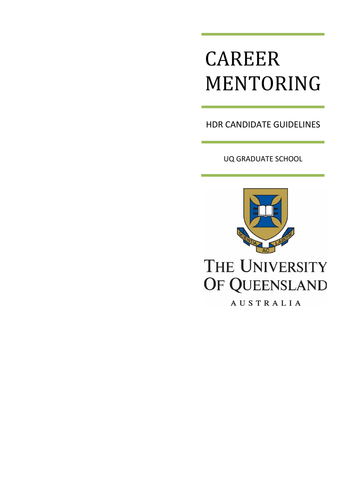# CAREER MENTORING

HDR CANDIDATE GUIDELINES

UQ GRADUATE SCHOOL



# THE UNIVERSITY OF QUEENSLAND

AUSTRALIA